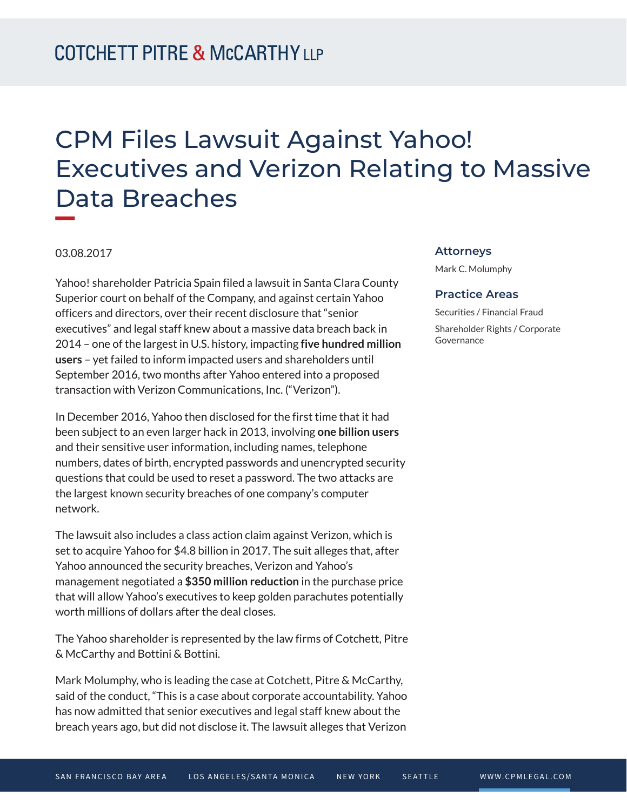# CPM Files Lawsuit Against Yahoo! Executives and Verizon Relating to Massive Data Breaches

### 03.08.2017

Yahoo! shareholder Patricia Spain filed a lawsuit in Santa Clara County Superior court on behalf of the Company, and against certain Yahoo officers and directors, over their recent disclosure that "senior executives" and legal staff knew about a massive data breach back in 2014 – one of the largest in U.S. history, impacting **five hundred million users** – yet failed to inform impacted users and shareholders until September 2016, two months after Yahoo entered into a proposed transaction with Verizon Communications, Inc. ("Verizon").

In December 2016, Yahoo then disclosed for the first time that it had been subject to an even larger hack in 2013, involving **one billion users** and their sensitive user information, including names, telephone numbers, dates of birth, encrypted passwords and unencrypted security questions that could be used to reset a password. The two attacks are the largest known security breaches of one company's computer network.

The lawsuit also includes a class action claim against Verizon, which is set to acquire Yahoo for \$4.8 billion in 2017. The suit alleges that, after Yahoo announced the security breaches, Verizon and Yahoo's management negotiated a **\$350 million reduction** in the purchase price that will allow Yahoo's executives to keep golden parachutes potentially worth millions of dollars after the deal closes.

The Yahoo shareholder is represented by the law firms of Cotchett, Pitre & McCarthy and Bottini & Bottini.

Mark Molumphy, who is leading the case at Cotchett, Pitre & McCarthy, said of the conduct, "This is a case about corporate accountability. Yahoo has now admitted that senior executives and legal staff knew about the breach years ago, but did not disclose it. The lawsuit alleges that Verizon

#### **Attorneys**

Mark C. Molumphy

#### **Practice Areas**

Securities / Financial Fraud Shareholder Rights / Corporate Governance